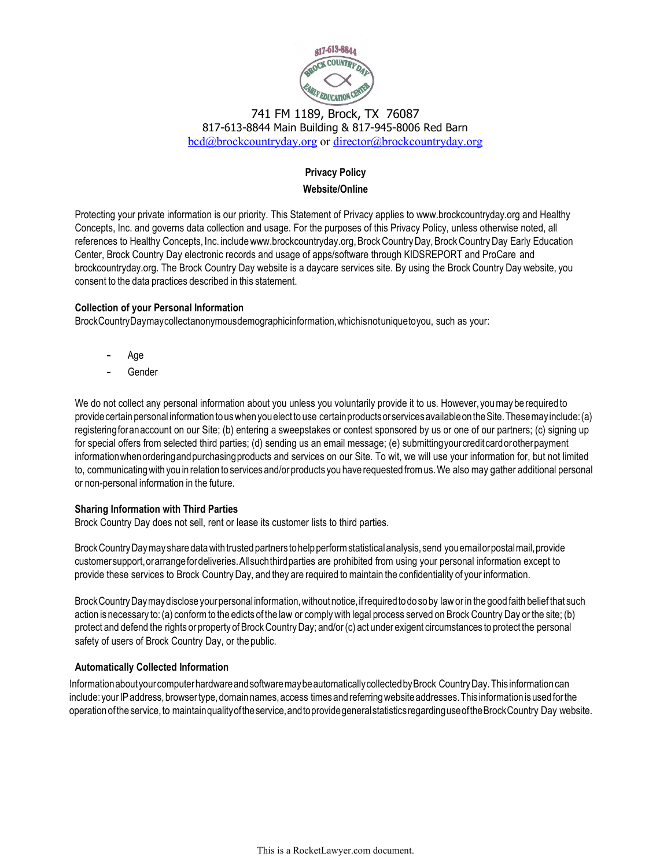

# 741 FM 1189, Brock, TX 76087 817-613-8844 Main Building & 817-945-8006 Red Barn [bcd@brockcountryday.org](mailto:bcd@brockcountryday.org) or [director@brockcountryday.org](mailto:director@brockcountryday.org)

# **Privacy Policy**

### **Website/Online**

Protecting your private information is our priority. This Statement of Privacy applies to [www.brockcountryday.org a](http://www.brockcountryday.org/)nd Healthy Concepts, Inc. and governs data collection and usage. For the purposes of this Privacy Policy, unless otherwise noted, all references to Healthy Concepts, Inc. include www.brockcountryday.org, Brock Country Day, Brock Country Day Early Education Center, Brock Country Day electronic records and usage of apps/software through KIDSREPORT and ProCare and brockcountryday.org. The Brock Country Day website is a daycare services site. By using the Brock Country Day website, you consent to the data practices described in this statement.

### **Collection of your Personal Information**

BrockCountryDaymaycollectanonymousdemographicinformation,whichisnotuniquetoyou, such as your:

- Age
- **Gender**

We do not collect any personal information about you unless you voluntarily provide it to us. However, youmay berequired to provide certain personal information to us when you elect to use certain products or services available on the Site. These may include: (a) registeringforanaccount on our Site; (b) entering a sweepstakes or contest sponsored by us or one of our partners; (c) signing up for special offers from selected third parties; (d) sending us an email message; (e) submittingyourcreditcardorotherpayment informationwhenorderingandpurchasingproducts and services on our Site. To wit, we will use your information for, but not limited to, communicatingwith you in relation to services and/or products you have requested fromus.We also may gather additional personal or non-personal information in the future.

## **Sharing Information with Third Parties**

Brock Country Day does not sell, rent or lease its customer lists to third parties.

Brock Country Day may share data with trusted partners to help perform statistical analysis, send you email or postal mail, provide customersupport,orarrangefordeliveries.Allsuchthirdparties are prohibited from using your personal information except to provide these services to Brock Country Day, and they are required tomaintain the confidentiality of your information.

BrockCountryDaymaydiscloseyourpersonal information,withoutnotice,ifrequiredtodosoby lawor in the good faith belief that such action is necessary to:(a) conformto the edicts of the law or comply with legal process served on Brock Country Day or the site; (b) protect and defend the rights or property of Brock Country Day; and/or (c) act under exigent circumstances to protect the personal safety of users of Brock Country Day, or the public.

## **Automatically Collected Information**

InformationaboutyourcomputerhardwareandsoftwaremaybeautomaticallycollectedbyBrock CountryDay.This informationcan include: your IP address, browser type, domain names, access times and referring website addresses. This information is used for the operation of the service, to maintain quality of the service, and to provide general statistics regarding use of the Brock Country Day website.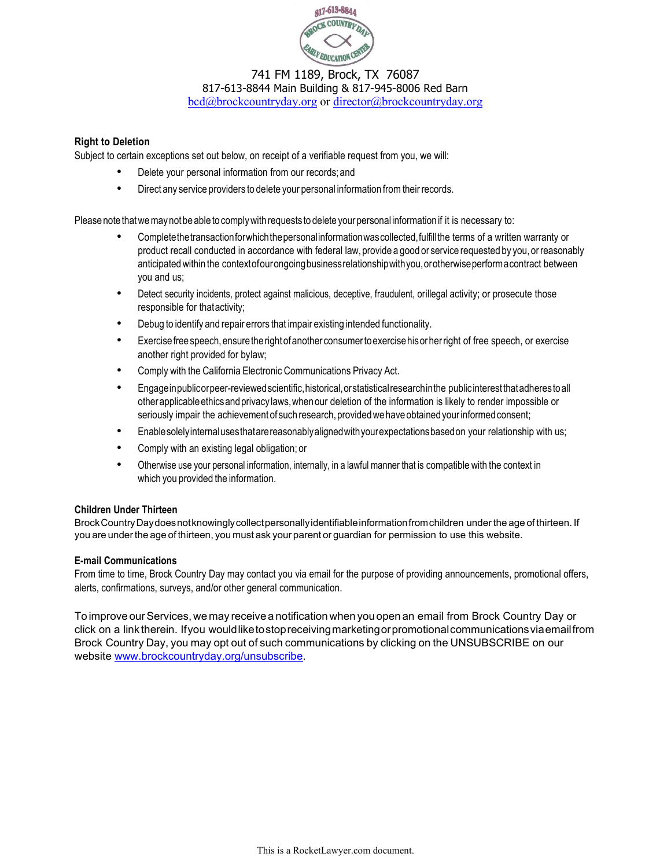

### 741 FM 1189, Brock, TX 76087 817-613-8844 Main Building & 817-945-8006 Red Barn [bcd@brockcountryday.org](mailto:bcd@brockcountryday.org) or [director@brockcountryday.org](mailto:director@brockcountryday.org)

### **Right to Deletion**

Subject to certain exceptions set out below, on receipt of a verifiable request from you, we will:

- Delete your personal information from our records;and
- Direct any service providers to delete your personal information from their records.

Please note that we may not be able to comply with requests to delete your personal information if it is necessary to:

- Completethetransactionforwhichthepersonalinformationwascollected,fulfillthe terms of a written warranty or product recall conducted in accordance with federal law, provide a good or service requested by you, orreasonably anticipatedwithin the contextofourongoingbusinessrelationshipwithyou,orotherwiseperformacontract between you and us;
- Detect security incidents, protect against malicious, deceptive, fraudulent, orillegal activity; or prosecute those responsible for thatactivity;
- Debug to identify and repair errors that impair existing intended functionality.
- Exercisefreespeech,ensuretherightofanotherconsumertoexercisehisorherright of free speech, or exercise another right provided for bylaw;
- Comply with the California Electronic Communications Privacy Act.
- Engageinpublicorpeer-reviewedscientific,historical,orstatisticalresearchinthe publicinterestthatadherestoall otherapplicableethicsandprivacy laws,whenour deletion of the information is likely to render impossible or seriously impair the achievement of such research, provided we have obtained your informed consent;
- Enablesolelyinternalusesthatarereasonablyalignedwithyourexpectationsbasedon your relationship with us;
- Comply with an existing legal obligation; or
- Otherwise use your personal information, internally, in a lawful manner that is compatible with the context in which you provided the information.

### **Children Under Thirteen**

BrockCountryDaydoesnotknowinglycollectpersonallyidentifiableinformationfromchildren underthe age of thirteen. If you are underthe age of thirteen, you must ask your parent or guardian for permission to use this website.

### **E-mail Communications**

From time to time, Brock Country Day may contact you via email for the purpose of providing announcements, promotional offers, alerts, confirmations, surveys, and/or other general communication.

To improve our Services, we may receive a notification when you open an email from Brock Country Day or click on a link therein. Ifyou wouldliketostopreceivingmarketingorpromotionalcommunicationsviaemailfrom Brock Country Day, you may opt out of such communications by clicking on the UNSUBSCRIBE on our website [www.brockcountryday.org/unsubscribe.](http://www.brockcountryday.org/unsubscribe)